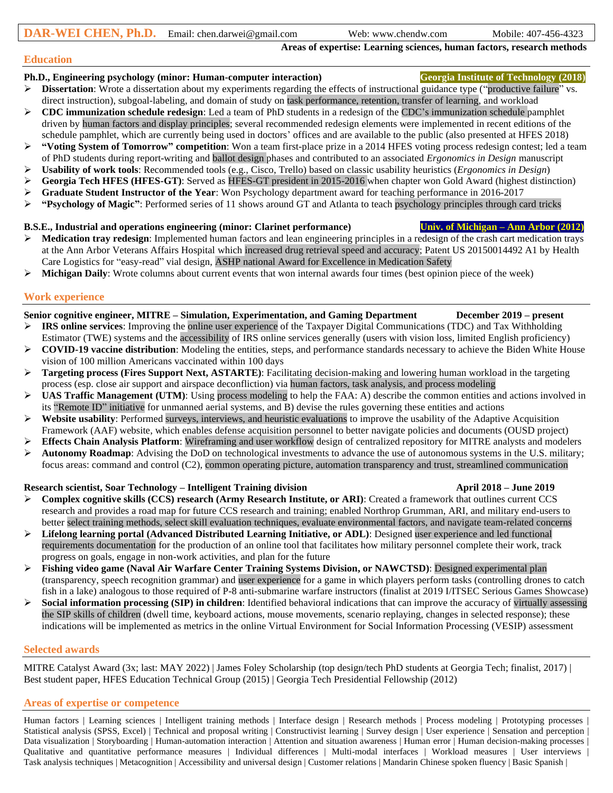**Areas of expertise: Learning sciences, human factors, research methods**

#### **Education**

### **Ph.D., Engineering psychology (minor: Human-computer interaction) Georgia Institute of Technology (2018)**

- ➢ **Dissertation**: Wrote a dissertation about my experiments regarding the effects of instructional guidance type ("productive failure" vs. direct instruction), subgoal-labeling, and domain of study on task performance, retention, transfer of learning, and workload
- ➢ **CDC immunization schedule redesign**: Led a team of PhD students in a redesign of the CDC's immunization schedule pamphlet driven by human factors and display principles; several recommended redesign elements were implemented in recent editions of the schedule pamphlet, which are currently being used in doctors' offices and are available to the public (also presented at HFES 2018)
- ➢ **"Voting System of Tomorrow" competition**: Won a team first-place prize in a 2014 HFES voting process redesign contest; led a team of PhD students during report-writing and ballot design phases and contributed to an associated *Ergonomics in Design* manuscript
- ➢ **Usability of work tools**: Recommended tools (e.g., Cisco, Trello) based on classic usability heuristics (*Ergonomics in Design*)
- ➢ **Georgia Tech HFES (HFES-GT)**: Served as HFES-GT president in 2015-2016 when chapter won Gold Award (highest distinction)
- ➢ **Graduate Student Instructor of the Year**: Won Psychology department award for teaching performance in 2016-2017
- ➢ **"Psychology of Magic"**: Performed series of 11 shows around GT and Atlanta to teach psychology principles through card tricks

## **B.S.E., Industrial and operations engineering (minor: Clarinet performance) Univ. of Michigan – Ann Arbor (2012)**

- ➢ **Medication tray redesign**: Implemented human factors and lean engineering principles in a redesign of the crash cart medication trays at the Ann Arbor Veterans Affairs Hospital which increased drug retrieval speed and accuracy; Patent US 20150014492 A1 by Health Care Logistics for "easy-read" vial design, ASHP national Award for Excellence in Medication Safety
- ➢ **Michigan Daily**: Wrote columns about current events that won internal awards four times (best opinion piece of the week)

## **Work experience**

## **Senior cognitive engineer, MITRE – Simulation, Experimentation, and Gaming Department December 2019 – present**

- ➢ **IRS online services**: Improving the online user experience of the Taxpayer Digital Communications (TDC) and Tax Withholding Estimator (TWE) systems and the accessibility of IRS online services generally (users with vision loss, limited English proficiency)
- ➢ **COVID-19 vaccine distribution**: Modeling the entities, steps, and performance standards necessary to achieve the Biden White House vision of 100 million Americans vaccinated within 100 days
- ➢ **Targeting process (Fires Support Next, ASTARTE)**: Facilitating decision-making and lowering human workload in the targeting process (esp. close air support and airspace deconfliction) via human factors, task analysis, and process modeling
- ➢ **UAS Traffic Management (UTM)**: Using process modeling to help the FAA: A) describe the common entities and actions involved in its "Remote ID" initiative for unmanned aerial systems, and B) devise the rules governing these entities and actions
- ➢ **Website usability**: Performed surveys, interviews, and heuristic evaluations to improve the usability of the Adaptive Acquisition Framework (AAF) website, which enables defense acquisition personnel to better navigate policies and documents (OUSD project)
- ➢ **Effects Chain Analysis Platform**: Wireframing and user workflow design of centralized repository for MITRE analysts and modelers
- ➢ **Autonomy Roadmap**: Advising the DoD on technological investments to advance the use of autonomous systems in the U.S. military; focus areas: command and control (C2), common operating picture, automation transparency and trust, streamlined communication

# **Research scientist, Soar Technology – Intelligent Training division April 2018 – June 2019**

- ➢ **Complex cognitive skills (CCS) research (Army Research Institute, or ARI)**: Created a framework that outlines current CCS research and provides a road map for future CCS research and training; enabled Northrop Grumman, ARI, and military end-users to better select training methods, select skill evaluation techniques, evaluate environmental factors, and navigate team-related concerns
- ➢ **Lifelong learning portal (Advanced Distributed Learning Initiative, or ADL)**: Designed user experience and led functional requirements documentation for the production of an online tool that facilitates how military personnel complete their work, track progress on goals, engage in non-work activities, and plan for the future
- ➢ **Fishing video game (Naval Air Warfare Center Training Systems Division, or NAWCTSD)**: Designed experimental plan (transparency, speech recognition grammar) and user experience for a game in which players perform tasks (controlling drones to catch fish in a lake) analogous to those required of P-8 anti-submarine warfare instructors (finalist at 2019 I/ITSEC Serious Games Showcase)
- ➢ **Social information processing (SIP) in children**: Identified behavioral indications that can improve the accuracy of virtually assessing the SIP skills of children (dwell time, keyboard actions, mouse movements, scenario replaying, changes in selected response); these indications will be implemented as metrics in the online Virtual Environment for Social Information Processing (VESIP) assessment

# **Selected awards**

MITRE Catalyst Award (3x; last: MAY 2022) | James Foley Scholarship (top design/tech PhD students at Georgia Tech; finalist, 2017) | Best student paper, HFES Education Technical Group (2015) | Georgia Tech Presidential Fellowship (2012)

# **Areas of expertise or competence**

Human factors | Learning sciences | Intelligent training methods | Interface design | Research methods | Process modeling | Prototyping processes | Statistical analysis (SPSS, Excel) | Technical and proposal writing | Constructivist learning | Survey design | User experience | Sensation and perception | Data visualization | Storyboarding | Human-automation interaction | Attention and situation awareness | Human error | Human decision-making processes | Qualitative and quantitative performance measures | Individual differences | Multi-modal interfaces | Workload measures | User interviews | Task analysis techniques | Metacognition | Accessibility and universal design | Customer relations | Mandarin Chinese spoken fluency | Basic Spanish |